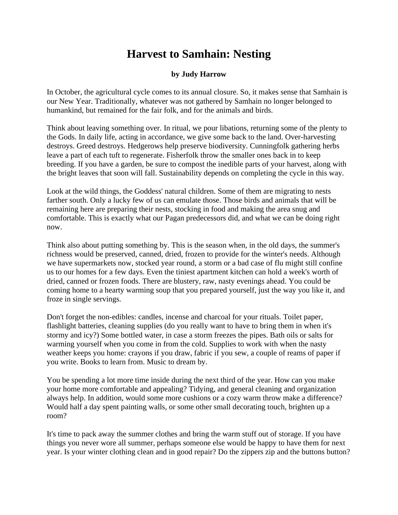## **Harvest to Samhain: Nesting**

## **by Judy Harrow**

In October, the agricultural cycle comes to its annual closure. So, it makes sense that Samhain is our New Year. Traditionally, whatever was not gathered by Samhain no longer belonged to humankind, but remained for the fair folk, and for the animals and birds.

Think about leaving something over. In ritual, we pour libations, returning some of the plenty to the Gods. In daily life, acting in accordance, we give some back to the land. Over-harvesting destroys. Greed destroys. Hedgerows help preserve biodiversity. Cunningfolk gathering herbs leave a part of each tuft to regenerate. Fisherfolk throw the smaller ones back in to keep breeding. If you have a garden, be sure to compost the inedible parts of your harvest, along with the bright leaves that soon will fall. Sustainability depends on completing the cycle in this way.

Look at the wild things, the Goddess' natural children. Some of them are migrating to nests farther south. Only a lucky few of us can emulate those. Those birds and animals that will be remaining here are preparing their nests, stocking in food and making the area snug and comfortable. This is exactly what our Pagan predecessors did, and what we can be doing right now.

Think also about putting something by. This is the season when, in the old days, the summer's richness would be preserved, canned, dried, frozen to provide for the winter's needs. Although we have supermarkets now, stocked year round, a storm or a bad case of flu might still confine us to our homes for a few days. Even the tiniest apartment kitchen can hold a week's worth of dried, canned or frozen foods. There are blustery, raw, nasty evenings ahead. You could be coming home to a hearty warming soup that you prepared yourself, just the way you like it, and froze in single servings.

Don't forget the non-edibles: candles, incense and charcoal for your rituals. Toilet paper, flashlight batteries, cleaning supplies (do you really want to have to bring them in when it's stormy and icy?) Some bottled water, in case a storm freezes the pipes. Bath oils or salts for warming yourself when you come in from the cold. Supplies to work with when the nasty weather keeps you home: crayons if you draw, fabric if you sew, a couple of reams of paper if you write. Books to learn from. Music to dream by.

You be spending a lot more time inside during the next third of the year. How can you make your home more comfortable and appealing? Tidying, and general cleaning and organization always help. In addition, would some more cushions or a cozy warm throw make a difference? Would half a day spent painting walls, or some other small decorating touch, brighten up a room?

It's time to pack away the summer clothes and bring the warm stuff out of storage. If you have things you never wore all summer, perhaps someone else would be happy to have them for next year. Is your winter clothing clean and in good repair? Do the zippers zip and the buttons button?